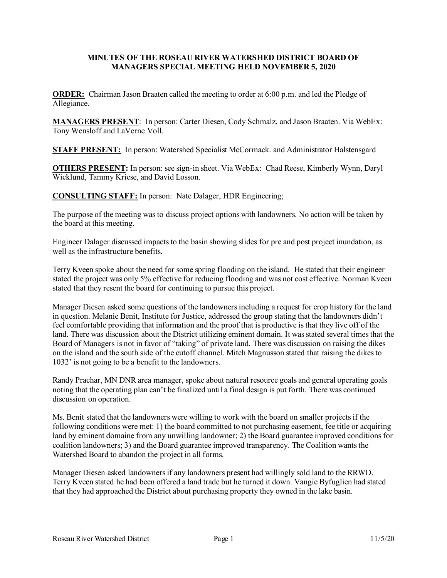## **MINUTES OF THE ROSEAU RIVER WATERSHED DISTRICT BOARD OF MANAGERS SPECIAL MEETING HELD NOVEMBER 5, 2020**

**ORDER:** Chairman Jason Braaten called the meeting to order at 6:00 p.m. and led the Pledge of Allegiance.

**MANAGERS PRESENT**: In person: Carter Diesen, Cody Schmalz, and Jason Braaten. Via WebEx: Tony Wensloff and LaVerne Voll.

**STAFF PRESENT:** In person: Watershed Specialist McCormack. and Administrator Halstensgard

**OTHERS PRESENT:** In person: see sign-in sheet. Via WebEx: Chad Reese, Kimberly Wynn, Daryl Wicklund, Tammy Kriese, and David Losson.

**CONSULTING STAFF:** In person: Nate Dalager, HDR Engineering;

The purpose of the meeting was to discuss project options with landowners. No action will be taken by the board at this meeting.

Engineer Dalager discussed impacts to the basin showing slides for pre and post project inundation, as well as the infrastructure benefits.

Terry Kveen spoke about the need for some spring flooding on the island. He stated that their engineer stated the project was only 5% effective for reducing flooding and was not cost effective. Norman Kveen stated that they resent the board for continuing to pursue this project.

Manager Diesen asked some questions of the landowners including a request for crop history for the land in question. Melanie Benit, Institute for Justice, addressed the group stating that the landowners didn't feel comfortable providing that information and the proof that is productive is that they live off of the land. There was discussion about the District utilizing eminent domain. It was stated several times that the Board of Managers is not in favor of "taking" of private land. There was discussion on raising the dikes on the island and the south side of the cutoff channel. Mitch Magnusson stated that raising the dikes to 1032' is not going to be a benefit to the landowners.

Randy Prachar, MN DNR area manager, spoke about natural resource goals and general operating goals noting that the operating plan can't be finalized until a final design is put forth. There was continued discussion on operation.

Ms. Benit stated that the landowners were willing to work with the board on smaller projects if the following conditions were met: 1) the board committed to not purchasing easement, fee title or acquiring land by eminent domaine from any unwilling landowner; 2) the Board guarantee improved conditions for coalition landowners; 3) and the Board guarantee improved transparency. The Coalition wants the Watershed Board to abandon the project in all forms.

Manager Diesen asked landowners if any landowners present had willingly sold land to the RRWD. Terry Kveen stated he had been offered a land trade but he turned it down. Vangie Byfuglien had stated that they had approached the District about purchasing property they owned in the lake basin.